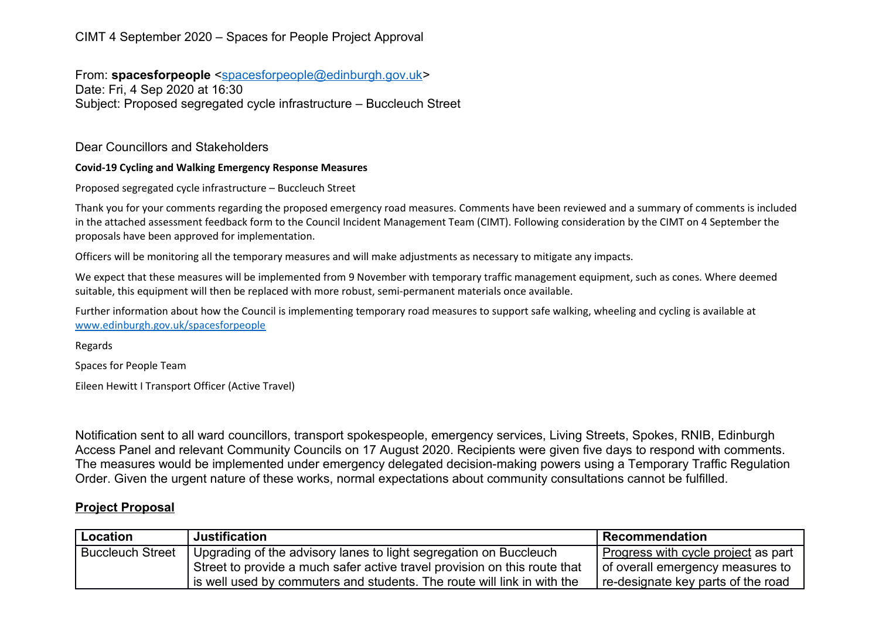## CIMT 4 September 2020 – Spaces for People Project Approval

From: **spacesforpeople** [<spacesforpeople@edinburgh.gov.uk>](mailto:spacesforpeople@edinburgh.gov.uk) Date: Fri, 4 Sep 2020 at 16:30 Subject: Proposed segregated cycle infrastructure – Buccleuch Street

Dear Councillors and Stakeholders

## **Covid-19 Cycling and Walking Emergency Response Measures**

Proposed segregated cycle infrastructure – Buccleuch Street

Thank you for your comments regarding the proposed emergency road measures. Comments have been reviewed and a summary of comments is included in the attached assessment feedback form to the Council Incident Management Team (CIMT). Following consideration by the CIMT on 4 September the proposals have been approved for implementation.

Officers will be monitoring all the temporary measures and will make adjustments as necessary to mitigate any impacts.

We expect that these measures will be implemented from 9 November with temporary traffic management equipment, such as cones. Where deemed suitable, this equipment will then be replaced with more robust, semi-permanent materials once available.

Further information about how the Council is implementing temporary road measures to support safe walking, wheeling and cycling is available at [www.edinburgh.gov.uk/spacesforpeople](http://www.edinburgh.gov.uk/spacesforpeople)

Regards

Spaces for People Team

Eileen Hewitt I Transport Officer (Active Travel)

Notification sent to all ward councillors, transport spokespeople, emergency services, Living Streets, Spokes, RNIB, Edinburgh Access Panel and relevant Community Councils on 17 August 2020. Recipients were given five days to respond with comments. The measures would be implemented under emergency delegated decision-making powers using a Temporary Traffic Regulation Order. Given the urgent nature of these works, normal expectations about community consultations cannot be fulfilled.

## **Project Proposal**

| <b>Location</b>         | <b>Justification</b>                                                      | Recommendation                               |
|-------------------------|---------------------------------------------------------------------------|----------------------------------------------|
| <b>Buccleuch Street</b> | Upgrading of the advisory lanes to light segregation on Buccleuch         | <u>l Progress with cycle project</u> as part |
|                         | Street to provide a much safer active travel provision on this route that | of overall emergency measures to             |
|                         | is well used by commuters and students. The route will link in with the   | re-designate key parts of the road           |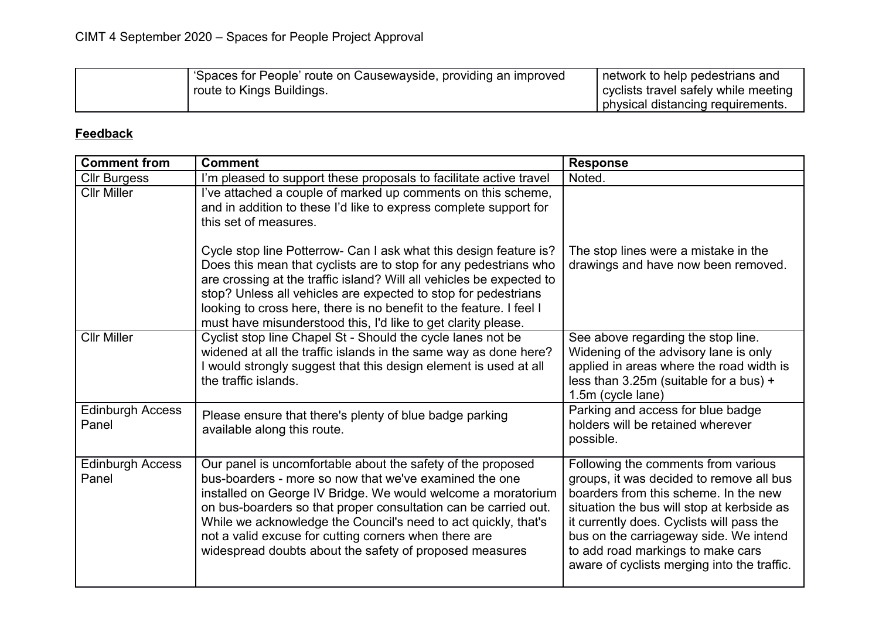| 'Spaces for People' route on Causewayside, providing an improved | network to help pedestrians and      |
|------------------------------------------------------------------|--------------------------------------|
| <sup>1</sup> route to Kings Buildings.                           | cyclists travel safely while meeting |
|                                                                  | physical distancing requirements.    |

## **Feedback**

| <b>Comment from</b>              | <b>Comment</b>                                                                                                                                                                                                                                                                                                                                                                                                                                 | <b>Response</b>                                                                                                                                                                                                                                                                                                                                   |
|----------------------------------|------------------------------------------------------------------------------------------------------------------------------------------------------------------------------------------------------------------------------------------------------------------------------------------------------------------------------------------------------------------------------------------------------------------------------------------------|---------------------------------------------------------------------------------------------------------------------------------------------------------------------------------------------------------------------------------------------------------------------------------------------------------------------------------------------------|
| <b>Cllr Burgess</b>              | I'm pleased to support these proposals to facilitate active travel                                                                                                                                                                                                                                                                                                                                                                             | Noted.                                                                                                                                                                                                                                                                                                                                            |
| <b>Cllr Miller</b>               | I've attached a couple of marked up comments on this scheme,<br>and in addition to these I'd like to express complete support for<br>this set of measures.                                                                                                                                                                                                                                                                                     |                                                                                                                                                                                                                                                                                                                                                   |
|                                  | Cycle stop line Potterrow- Can I ask what this design feature is?<br>Does this mean that cyclists are to stop for any pedestrians who<br>are crossing at the traffic island? Will all vehicles be expected to<br>stop? Unless all vehicles are expected to stop for pedestrians<br>looking to cross here, there is no benefit to the feature. I feel I<br>must have misunderstood this, I'd like to get clarity please.                        | The stop lines were a mistake in the<br>drawings and have now been removed.                                                                                                                                                                                                                                                                       |
| <b>Cllr Miller</b>               | Cyclist stop line Chapel St - Should the cycle lanes not be<br>widened at all the traffic islands in the same way as done here?<br>I would strongly suggest that this design element is used at all<br>the traffic islands.                                                                                                                                                                                                                    | See above regarding the stop line.<br>Widening of the advisory lane is only<br>applied in areas where the road width is<br>less than 3.25m (suitable for a bus) +<br>1.5m (cycle lane)                                                                                                                                                            |
| <b>Edinburgh Access</b><br>Panel | Please ensure that there's plenty of blue badge parking<br>available along this route.                                                                                                                                                                                                                                                                                                                                                         | Parking and access for blue badge<br>holders will be retained wherever<br>possible.                                                                                                                                                                                                                                                               |
| <b>Edinburgh Access</b><br>Panel | Our panel is uncomfortable about the safety of the proposed<br>bus-boarders - more so now that we've examined the one<br>installed on George IV Bridge. We would welcome a moratorium<br>on bus-boarders so that proper consultation can be carried out.<br>While we acknowledge the Council's need to act quickly, that's<br>not a valid excuse for cutting corners when there are<br>widespread doubts about the safety of proposed measures | Following the comments from various<br>groups, it was decided to remove all bus<br>boarders from this scheme. In the new<br>situation the bus will stop at kerbside as<br>it currently does. Cyclists will pass the<br>bus on the carriageway side. We intend<br>to add road markings to make cars<br>aware of cyclists merging into the traffic. |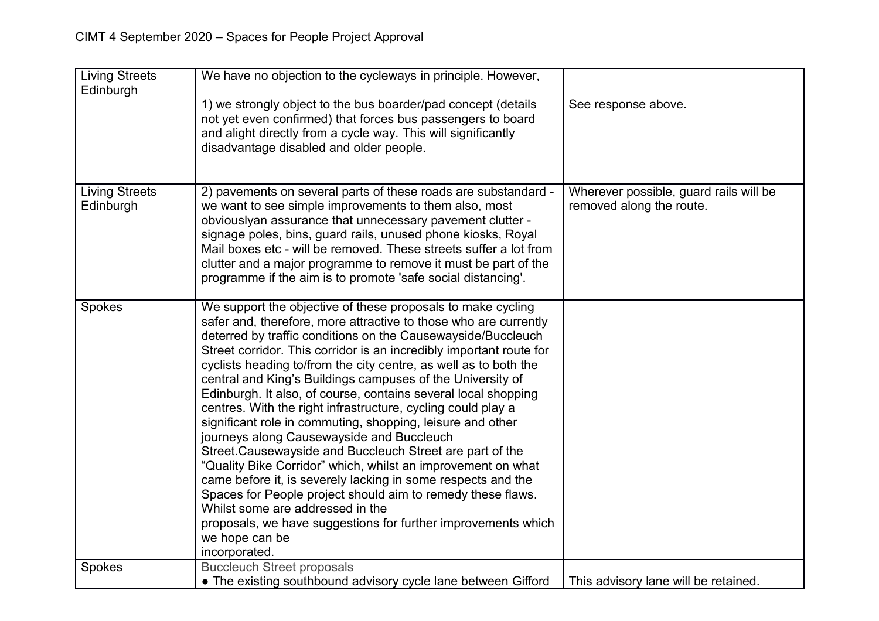| <b>Living Streets</b><br>Edinburgh | We have no objection to the cycleways in principle. However,<br>1) we strongly object to the bus boarder/pad concept (details<br>not yet even confirmed) that forces bus passengers to board<br>and alight directly from a cycle way. This will significantly<br>disadvantage disabled and older people.                                                                                                                                                                                                                                                                                                                                                                                                                                                                                                                                                                                                                                                                                                                                                 | See response above.                                                |
|------------------------------------|----------------------------------------------------------------------------------------------------------------------------------------------------------------------------------------------------------------------------------------------------------------------------------------------------------------------------------------------------------------------------------------------------------------------------------------------------------------------------------------------------------------------------------------------------------------------------------------------------------------------------------------------------------------------------------------------------------------------------------------------------------------------------------------------------------------------------------------------------------------------------------------------------------------------------------------------------------------------------------------------------------------------------------------------------------|--------------------------------------------------------------------|
| <b>Living Streets</b><br>Edinburgh | 2) pavements on several parts of these roads are substandard -<br>we want to see simple improvements to them also, most<br>obviouslyan assurance that unnecessary pavement clutter -<br>signage poles, bins, guard rails, unused phone kiosks, Royal<br>Mail boxes etc - will be removed. These streets suffer a lot from<br>clutter and a major programme to remove it must be part of the<br>programme if the aim is to promote 'safe social distancing'.                                                                                                                                                                                                                                                                                                                                                                                                                                                                                                                                                                                              | Wherever possible, guard rails will be<br>removed along the route. |
| Spokes                             | We support the objective of these proposals to make cycling<br>safer and, therefore, more attractive to those who are currently<br>deterred by traffic conditions on the Causewayside/Buccleuch<br>Street corridor. This corridor is an incredibly important route for<br>cyclists heading to/from the city centre, as well as to both the<br>central and King's Buildings campuses of the University of<br>Edinburgh. It also, of course, contains several local shopping<br>centres. With the right infrastructure, cycling could play a<br>significant role in commuting, shopping, leisure and other<br>journeys along Causewayside and Buccleuch<br>Street Causewayside and Buccleuch Street are part of the<br>"Quality Bike Corridor" which, whilst an improvement on what<br>came before it, is severely lacking in some respects and the<br>Spaces for People project should aim to remedy these flaws.<br>Whilst some are addressed in the<br>proposals, we have suggestions for further improvements which<br>we hope can be<br>incorporated. |                                                                    |
| Spokes                             | <b>Buccleuch Street proposals</b><br>• The existing southbound advisory cycle lane between Gifford                                                                                                                                                                                                                                                                                                                                                                                                                                                                                                                                                                                                                                                                                                                                                                                                                                                                                                                                                       | This advisory lane will be retained.                               |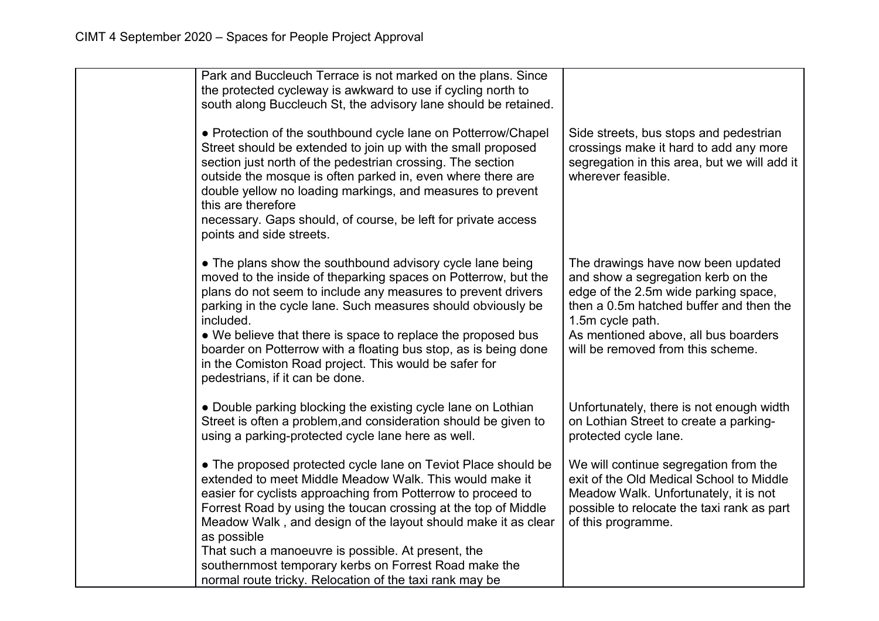| Park and Buccleuch Terrace is not marked on the plans. Since<br>the protected cycleway is awkward to use if cycling north to<br>south along Buccleuch St, the advisory lane should be retained.                                                                                                                                                                                                                                                                                                         |                                                                                                                                                                                                                                                              |
|---------------------------------------------------------------------------------------------------------------------------------------------------------------------------------------------------------------------------------------------------------------------------------------------------------------------------------------------------------------------------------------------------------------------------------------------------------------------------------------------------------|--------------------------------------------------------------------------------------------------------------------------------------------------------------------------------------------------------------------------------------------------------------|
| • Protection of the southbound cycle lane on Potterrow/Chapel<br>Street should be extended to join up with the small proposed<br>section just north of the pedestrian crossing. The section<br>outside the mosque is often parked in, even where there are<br>double yellow no loading markings, and measures to prevent<br>this are therefore<br>necessary. Gaps should, of course, be left for private access<br>points and side streets.                                                             | Side streets, bus stops and pedestrian<br>crossings make it hard to add any more<br>segregation in this area, but we will add it<br>wherever feasible.                                                                                                       |
| • The plans show the southbound advisory cycle lane being<br>moved to the inside of theparking spaces on Potterrow, but the<br>plans do not seem to include any measures to prevent drivers<br>parking in the cycle lane. Such measures should obviously be<br>included.<br>• We believe that there is space to replace the proposed bus<br>boarder on Potterrow with a floating bus stop, as is being done<br>in the Comiston Road project. This would be safer for<br>pedestrians, if it can be done. | The drawings have now been updated<br>and show a segregation kerb on the<br>edge of the 2.5m wide parking space,<br>then a 0.5m hatched buffer and then the<br>1.5m cycle path.<br>As mentioned above, all bus boarders<br>will be removed from this scheme. |
| • Double parking blocking the existing cycle lane on Lothian<br>Street is often a problem, and consideration should be given to<br>using a parking-protected cycle lane here as well.                                                                                                                                                                                                                                                                                                                   | Unfortunately, there is not enough width<br>on Lothian Street to create a parking-<br>protected cycle lane.                                                                                                                                                  |
| • The proposed protected cycle lane on Teviot Place should be<br>extended to meet Middle Meadow Walk. This would make it<br>easier for cyclists approaching from Potterrow to proceed to<br>Forrest Road by using the toucan crossing at the top of Middle<br>Meadow Walk, and design of the layout should make it as clear<br>as possible                                                                                                                                                              | We will continue segregation from the<br>exit of the Old Medical School to Middle<br>Meadow Walk. Unfortunately, it is not<br>possible to relocate the taxi rank as part<br>of this programme.                                                               |
| That such a manoeuvre is possible. At present, the<br>southernmost temporary kerbs on Forrest Road make the<br>normal route tricky. Relocation of the taxi rank may be                                                                                                                                                                                                                                                                                                                                  |                                                                                                                                                                                                                                                              |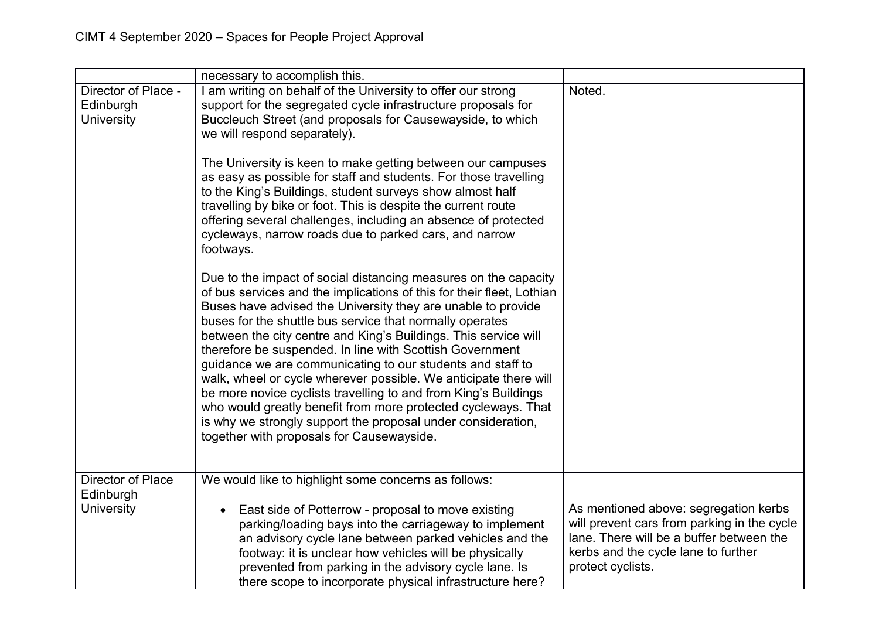|                                                            | necessary to accomplish this.                                                                                                                                                                                                                                                                                                                                                                                                                                                                                                                                                                                                                                                                                                                                                          |                                                                                                                                                                                              |
|------------------------------------------------------------|----------------------------------------------------------------------------------------------------------------------------------------------------------------------------------------------------------------------------------------------------------------------------------------------------------------------------------------------------------------------------------------------------------------------------------------------------------------------------------------------------------------------------------------------------------------------------------------------------------------------------------------------------------------------------------------------------------------------------------------------------------------------------------------|----------------------------------------------------------------------------------------------------------------------------------------------------------------------------------------------|
| Director of Place -<br>Edinburgh<br><b>University</b>      | I am writing on behalf of the University to offer our strong<br>support for the segregated cycle infrastructure proposals for<br>Buccleuch Street (and proposals for Causewayside, to which<br>we will respond separately).                                                                                                                                                                                                                                                                                                                                                                                                                                                                                                                                                            | Noted.                                                                                                                                                                                       |
|                                                            | The University is keen to make getting between our campuses<br>as easy as possible for staff and students. For those travelling<br>to the King's Buildings, student surveys show almost half<br>travelling by bike or foot. This is despite the current route<br>offering several challenges, including an absence of protected<br>cycleways, narrow roads due to parked cars, and narrow<br>footways.                                                                                                                                                                                                                                                                                                                                                                                 |                                                                                                                                                                                              |
|                                                            | Due to the impact of social distancing measures on the capacity<br>of bus services and the implications of this for their fleet, Lothian<br>Buses have advised the University they are unable to provide<br>buses for the shuttle bus service that normally operates<br>between the city centre and King's Buildings. This service will<br>therefore be suspended. In line with Scottish Government<br>guidance we are communicating to our students and staff to<br>walk, wheel or cycle wherever possible. We anticipate there will<br>be more novice cyclists travelling to and from King's Buildings<br>who would greatly benefit from more protected cycleways. That<br>is why we strongly support the proposal under consideration,<br>together with proposals for Causewayside. |                                                                                                                                                                                              |
| <b>Director of Place</b><br>Edinburgh<br><b>University</b> | We would like to highlight some concerns as follows:<br>East side of Potterrow - proposal to move existing<br>$\bullet$<br>parking/loading bays into the carriageway to implement<br>an advisory cycle lane between parked vehicles and the<br>footway: it is unclear how vehicles will be physically<br>prevented from parking in the advisory cycle lane. Is<br>there scope to incorporate physical infrastructure here?                                                                                                                                                                                                                                                                                                                                                             | As mentioned above: segregation kerbs<br>will prevent cars from parking in the cycle<br>lane. There will be a buffer between the<br>kerbs and the cycle lane to further<br>protect cyclists. |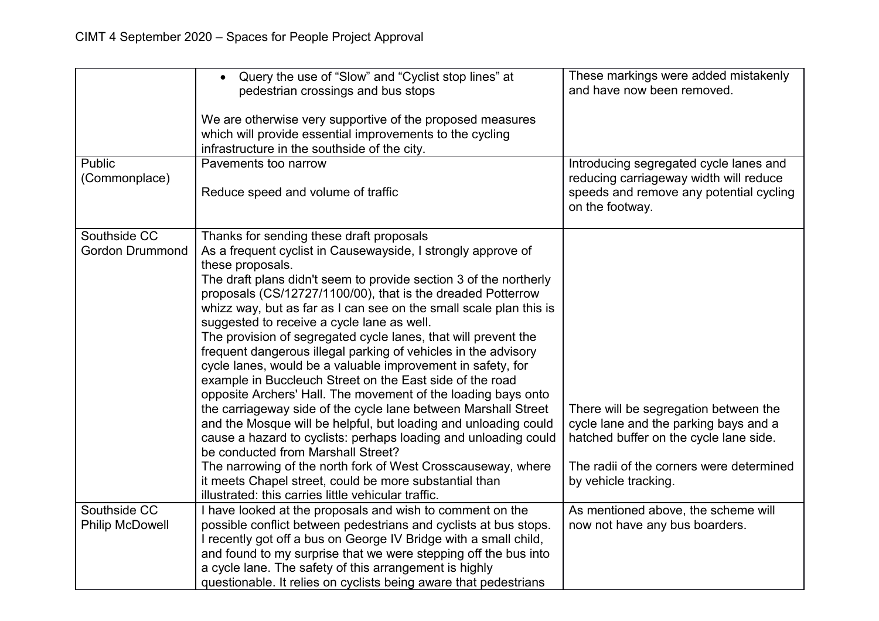| <b>Public</b>                          | Query the use of "Slow" and "Cyclist stop lines" at<br>$\bullet$<br>pedestrian crossings and bus stops<br>We are otherwise very supportive of the proposed measures<br>which will provide essential improvements to the cycling<br>infrastructure in the southside of the city.<br>Pavements too narrow                                                                                                                                                                                                                                                                                                                                                                                                                                                                                                                                                                                                                                                                                                                                                                                                                                             | These markings were added mistakenly<br>and have now been removed.<br>Introducing segregated cycle lanes and                                                                                 |
|----------------------------------------|-----------------------------------------------------------------------------------------------------------------------------------------------------------------------------------------------------------------------------------------------------------------------------------------------------------------------------------------------------------------------------------------------------------------------------------------------------------------------------------------------------------------------------------------------------------------------------------------------------------------------------------------------------------------------------------------------------------------------------------------------------------------------------------------------------------------------------------------------------------------------------------------------------------------------------------------------------------------------------------------------------------------------------------------------------------------------------------------------------------------------------------------------------|----------------------------------------------------------------------------------------------------------------------------------------------------------------------------------------------|
| (Commonplace)                          | Reduce speed and volume of traffic                                                                                                                                                                                                                                                                                                                                                                                                                                                                                                                                                                                                                                                                                                                                                                                                                                                                                                                                                                                                                                                                                                                  | reducing carriageway width will reduce<br>speeds and remove any potential cycling<br>on the footway.                                                                                         |
| Southside CC<br><b>Gordon Drummond</b> | Thanks for sending these draft proposals<br>As a frequent cyclist in Causewayside, I strongly approve of<br>these proposals.<br>The draft plans didn't seem to provide section 3 of the northerly<br>proposals (CS/12727/1100/00), that is the dreaded Potterrow<br>whizz way, but as far as I can see on the small scale plan this is<br>suggested to receive a cycle lane as well.<br>The provision of segregated cycle lanes, that will prevent the<br>frequent dangerous illegal parking of vehicles in the advisory<br>cycle lanes, would be a valuable improvement in safety, for<br>example in Buccleuch Street on the East side of the road<br>opposite Archers' Hall. The movement of the loading bays onto<br>the carriageway side of the cycle lane between Marshall Street<br>and the Mosque will be helpful, but loading and unloading could<br>cause a hazard to cyclists: perhaps loading and unloading could<br>be conducted from Marshall Street?<br>The narrowing of the north fork of West Crosscauseway, where<br>it meets Chapel street, could be more substantial than<br>illustrated: this carries little vehicular traffic. | There will be segregation between the<br>cycle lane and the parking bays and a<br>hatched buffer on the cycle lane side.<br>The radii of the corners were determined<br>by vehicle tracking. |
| Southside CC<br><b>Philip McDowell</b> | I have looked at the proposals and wish to comment on the<br>possible conflict between pedestrians and cyclists at bus stops.<br>I recently got off a bus on George IV Bridge with a small child,<br>and found to my surprise that we were stepping off the bus into<br>a cycle lane. The safety of this arrangement is highly                                                                                                                                                                                                                                                                                                                                                                                                                                                                                                                                                                                                                                                                                                                                                                                                                      | As mentioned above, the scheme will<br>now not have any bus boarders.                                                                                                                        |
|                                        | questionable. It relies on cyclists being aware that pedestrians                                                                                                                                                                                                                                                                                                                                                                                                                                                                                                                                                                                                                                                                                                                                                                                                                                                                                                                                                                                                                                                                                    |                                                                                                                                                                                              |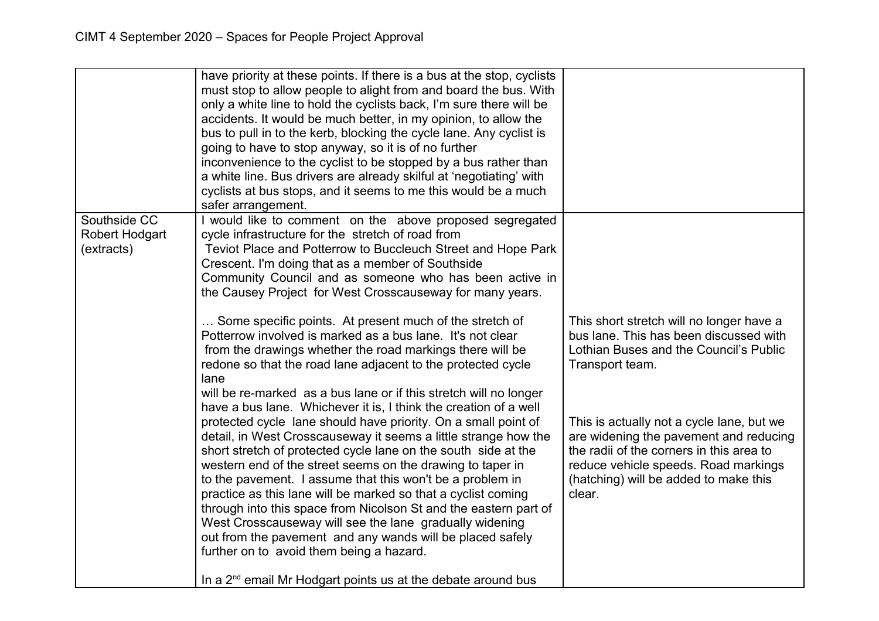|                                     | have priority at these points. If there is a bus at the stop, cyclists<br>must stop to allow people to alight from and board the bus. With<br>only a white line to hold the cyclists back, I'm sure there will be<br>accidents. It would be much better, in my opinion, to allow the<br>bus to pull in to the kerb, blocking the cycle lane. Any cyclist is<br>going to have to stop anyway, so it is of no further<br>inconvenience to the cyclist to be stopped by a bus rather than<br>a white line. Bus drivers are already skilful at 'negotiating' with<br>cyclists at bus stops, and it seems to me this would be a much<br>safer arrangement.                                                       |                                                                                                                                                                                                                            |
|-------------------------------------|-------------------------------------------------------------------------------------------------------------------------------------------------------------------------------------------------------------------------------------------------------------------------------------------------------------------------------------------------------------------------------------------------------------------------------------------------------------------------------------------------------------------------------------------------------------------------------------------------------------------------------------------------------------------------------------------------------------|----------------------------------------------------------------------------------------------------------------------------------------------------------------------------------------------------------------------------|
| Southside CC                        | I would like to comment on the above proposed segregated                                                                                                                                                                                                                                                                                                                                                                                                                                                                                                                                                                                                                                                    |                                                                                                                                                                                                                            |
| <b>Robert Hodgart</b><br>(extracts) | cycle infrastructure for the stretch of road from<br>Teviot Place and Potterrow to Buccleuch Street and Hope Park<br>Crescent. I'm doing that as a member of Southside<br>Community Council and as someone who has been active in<br>the Causey Project for West Crosscauseway for many years.                                                                                                                                                                                                                                                                                                                                                                                                              |                                                                                                                                                                                                                            |
|                                     | Some specific points. At present much of the stretch of<br>Potterrow involved is marked as a bus lane. It's not clear<br>from the drawings whether the road markings there will be<br>redone so that the road lane adjacent to the protected cycle<br>lane<br>will be re-marked as a bus lane or if this stretch will no longer                                                                                                                                                                                                                                                                                                                                                                             | This short stretch will no longer have a<br>bus lane. This has been discussed with<br>Lothian Buses and the Council's Public<br>Transport team.                                                                            |
|                                     | have a bus lane. Whichever it is, I think the creation of a well<br>protected cycle lane should have priority. On a small point of<br>detail, in West Crosscauseway it seems a little strange how the<br>short stretch of protected cycle lane on the south side at the<br>western end of the street seems on the drawing to taper in<br>to the pavement. I assume that this won't be a problem in<br>practice as this lane will be marked so that a cyclist coming<br>through into this space from Nicolson St and the eastern part of<br>West Crosscauseway will see the lane gradually widening<br>out from the pavement and any wands will be placed safely<br>further on to avoid them being a hazard. | This is actually not a cycle lane, but we<br>are widening the pavement and reducing<br>the radii of the corners in this area to<br>reduce vehicle speeds. Road markings<br>(hatching) will be added to make this<br>clear. |
|                                     | In a 2 <sup>nd</sup> email Mr Hodgart points us at the debate around bus                                                                                                                                                                                                                                                                                                                                                                                                                                                                                                                                                                                                                                    |                                                                                                                                                                                                                            |